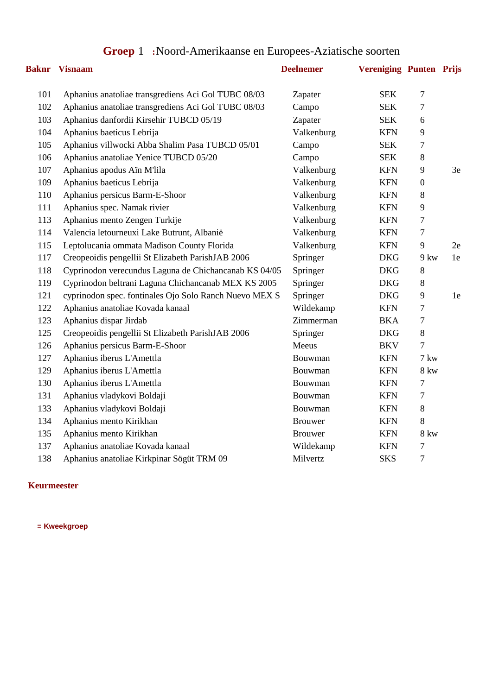# **Groep** 1 **:**Noord-Amerikaanse en Europees-Aziatische soorten

|     | <b>Baknr</b> Visnaam                                   | <b>Deelnemer</b> | <b>Vereniging Punten Prijs</b> |                  |      |
|-----|--------------------------------------------------------|------------------|--------------------------------|------------------|------|
| 101 | Aphanius anatoliae transgrediens Aci Gol TUBC 08/03    | Zapater          | <b>SEK</b>                     | $\overline{7}$   |      |
| 102 | Aphanius anatoliae transgrediens Aci Gol TUBC 08/03    | Campo            | <b>SEK</b>                     | 7                |      |
| 103 | Aphanius danfordii Kirsehir TUBCD 05/19                | Zapater          | <b>SEK</b>                     | 6                |      |
| 104 | Aphanius baeticus Lebrija                              | Valkenburg       | <b>KFN</b>                     | 9                |      |
| 105 | Aphanius villwocki Abba Shalim Pasa TUBCD 05/01        | Campo            | <b>SEK</b>                     | $\tau$           |      |
| 106 | Aphanius anatoliae Yenice TUBCD 05/20                  | Campo            | <b>SEK</b>                     | 8                |      |
| 107 | Aphanius apodus Aïn M'lila                             | Valkenburg       | <b>KFN</b>                     | 9                | 3e   |
| 109 | Aphanius baeticus Lebrija                              | Valkenburg       | <b>KFN</b>                     | $\boldsymbol{0}$ |      |
| 110 | Aphanius persicus Barm-E-Shoor                         | Valkenburg       | <b>KFN</b>                     | 8                |      |
| 111 | Aphanius spec. Namak rivier                            | Valkenburg       | <b>KFN</b>                     | 9                |      |
| 113 | Aphanius mento Zengen Turkije                          | Valkenburg       | <b>KFN</b>                     | $\tau$           |      |
| 114 | Valencia letourneuxi Lake Butrunt, Albanië             | Valkenburg       | <b>KFN</b>                     | 7                |      |
| 115 | Leptolucania ommata Madison County Florida             | Valkenburg       | <b>KFN</b>                     | 9                | 2e   |
| 117 | Creopeoidis pengellii St Elizabeth ParishJAB 2006      | Springer         | <b>DKG</b>                     | 9 kw             | 1e   |
| 118 | Cyprinodon verecundus Laguna de Chichancanab KS 04/05  | Springer         | <b>DKG</b>                     | 8                |      |
| 119 | Cyprinodon beltrani Laguna Chichancanab MEX KS 2005    | Springer         | <b>DKG</b>                     | $8\,$            |      |
| 121 | cyprinodon spec. fontinales Ojo Solo Ranch Nuevo MEX S | Springer         | <b>DKG</b>                     | 9                | $1e$ |
| 122 | Aphanius anatoliae Kovada kanaal                       | Wildekamp        | <b>KFN</b>                     | 7                |      |
| 123 | Aphanius dispar Jirdab                                 | Zimmerman        | <b>BKA</b>                     | $\boldsymbol{7}$ |      |
| 125 | Creopeoidis pengellii St Elizabeth ParishJAB 2006      | Springer         | <b>DKG</b>                     | $\,8\,$          |      |
| 126 | Aphanius persicus Barm-E-Shoor                         | Meeus            | <b>BKV</b>                     | $\overline{7}$   |      |
| 127 | Aphanius iberus L'Amettla                              | Bouwman          | <b>KFN</b>                     | 7 kw             |      |
| 129 | Aphanius iberus L'Amettla                              | Bouwman          | <b>KFN</b>                     | <b>8 kw</b>      |      |
| 130 | Aphanius iberus L'Amettla                              | Bouwman          | <b>KFN</b>                     | 7                |      |
| 131 | Aphanius vladykovi Boldaji                             | Bouwman          | <b>KFN</b>                     | $\boldsymbol{7}$ |      |
| 133 | Aphanius vladykovi Boldaji                             | Bouwman          | <b>KFN</b>                     | $8\,$            |      |
| 134 | Aphanius mento Kirikhan                                | <b>Brouwer</b>   | <b>KFN</b>                     | $\,8\,$          |      |
| 135 | Aphanius mento Kirikhan                                | <b>Brouwer</b>   | <b>KFN</b>                     | <b>8 kw</b>      |      |
| 137 | Aphanius anatoliae Kovada kanaal                       | Wildekamp        | <b>KFN</b>                     | $\tau$           |      |
| 138 | Aphanius anatoliae Kirkpinar Sögüt TRM 09              | Milvertz         | <b>SKS</b>                     | $\tau$           |      |
|     |                                                        |                  |                                |                  |      |

**Keurmeester**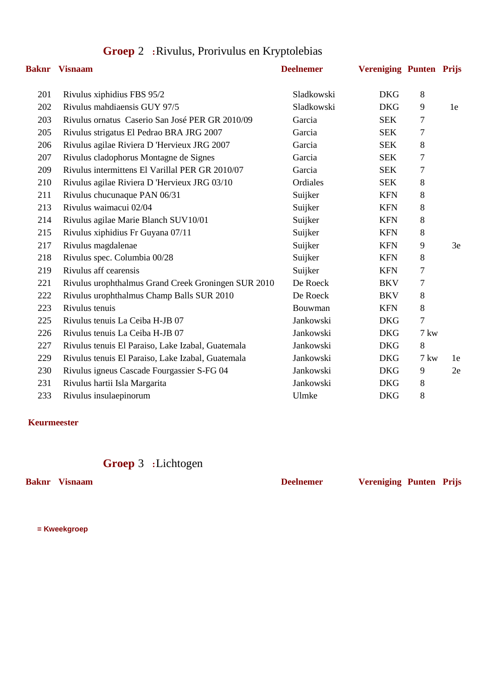| Baknr | <b>Visnaam</b>                                      | <b>Deelnemer</b> | <b>Vereniging Punten Prijs</b> |               |    |
|-------|-----------------------------------------------------|------------------|--------------------------------|---------------|----|
| 201   | Rivulus xiphidius FBS 95/2                          | Sladkowski       | <b>DKG</b>                     | 8             |    |
| 202   | Rivulus mahdiaensis GUY 97/5                        | Sladkowski       | <b>DKG</b>                     | 9             | 1e |
| 203   | Rivulus ornatus Caserio San José PER GR 2010/09     | Garcia           | <b>SEK</b>                     | 7             |    |
| 205   | Rivulus strigatus El Pedrao BRA JRG 2007            | Garcia           | <b>SEK</b>                     | 7             |    |
| 206   | Rivulus agilae Riviera D 'Hervieux JRG 2007         | Garcia           | <b>SEK</b>                     | 8             |    |
| 207   | Rivulus cladophorus Montagne de Signes              | Garcia           | <b>SEK</b>                     | 7             |    |
| 209   | Rivulus intermittens El Varillal PER GR 2010/07     | Garcia           | <b>SEK</b>                     | 7             |    |
| 210   | Rivulus agilae Riviera D 'Hervieux JRG 03/10        | Ordiales         | <b>SEK</b>                     | 8             |    |
| 211   | Rivulus chucunaque PAN 06/31                        | Suijker          | <b>KFN</b>                     | 8             |    |
| 213   | Rivulus waimacui 02/04                              | Suijker          | <b>KFN</b>                     | 8             |    |
| 214   | Rivulus agilae Marie Blanch SUV10/01                | Suijker          | <b>KFN</b>                     | 8             |    |
| 215   | Rivulus xiphidius Fr Guyana 07/11                   | Suijker          | <b>KFN</b>                     | 8             |    |
| 217   | Rivulus magdalenae                                  | Suijker          | <b>KFN</b>                     | 9             | 3e |
| 218   | Rivulus spec. Columbia 00/28                        | Suijker          | <b>KFN</b>                     | 8             |    |
| 219   | Rivulus aff cearensis                               | Suijker          | <b>KFN</b>                     | 7             |    |
| 221   | Rivulus urophthalmus Grand Creek Groningen SUR 2010 | De Roeck         | <b>BKV</b>                     | 7             |    |
| 222   | Rivulus urophthalmus Champ Balls SUR 2010           | De Roeck         | <b>BKV</b>                     | $8\,$         |    |
| 223   | Rivulus tenuis                                      | Bouwman          | <b>KFN</b>                     | 8             |    |
| 225   | Rivulus tenuis La Ceiba H-JB 07                     | Jankowski        | <b>DKG</b>                     | 7             |    |
| 226   | Rivulus tenuis La Ceiba H-JB 07                     | Jankowski        | <b>DKG</b>                     | $7 \text{kw}$ |    |
| 227   | Rivulus tenuis El Paraiso, Lake Izabal, Guatemala   | Jankowski        | <b>DKG</b>                     | 8             |    |
| 229   | Rivulus tenuis El Paraiso, Lake Izabal, Guatemala   | Jankowski        | <b>DKG</b>                     | $7 \text{kw}$ | 1e |
| 230   | Rivulus igneus Cascade Fourgassier S-FG 04          | Jankowski        | <b>DKG</b>                     | 9             | 2e |
| 231   | Rivulus hartii Isla Margarita                       | Jankowski        | <b>DKG</b>                     | 8             |    |
| 233   | Rivulus insulaepinorum                              | Ulmke            | <b>DKG</b>                     | 8             |    |

# **Groep** 2 **:**Rivulus, Prorivulus en Kryptolebias

#### **Keurmeester**

## **Groep** 3 **:**Lichtogen

**Baknr Visnaam Deelnemer Vereniging Punten Prijs**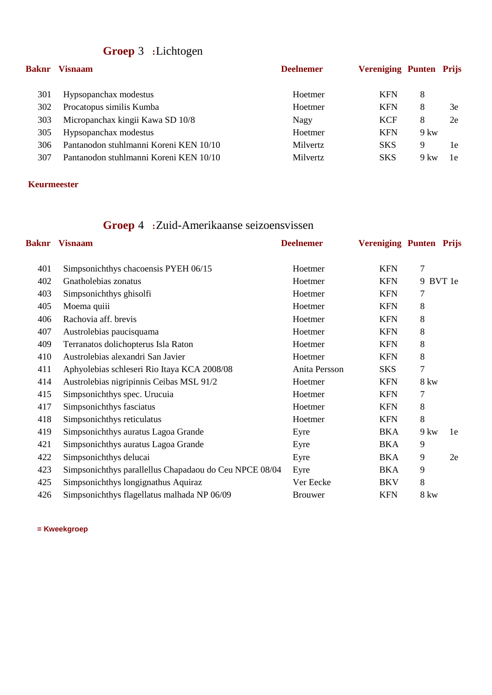# **Groep** 3 **:**Lichtogen

| Baknr | <b>Visnaam</b>                         | <b>Deelnemer</b> | <b>Vereniging Punten Prijs</b> |               |    |
|-------|----------------------------------------|------------------|--------------------------------|---------------|----|
| 301   | Hypsopanchax modestus                  | Hoetmer          | <b>KFN</b>                     | 8             |    |
| 302   | Procatopus similis Kumba               | Hoetmer          | <b>KFN</b>                     | 8             | 3e |
| 303   | Micropanchax kingii Kawa SD 10/8       | Nagy             | <b>KCF</b>                     | 8             | 2e |
| 305   | Hypsopanchax modestus                  | Hoetmer          | <b>KFN</b>                     | $9 \text{kw}$ |    |
| 306   | Pantanodon stuhlmanni Koreni KEN 10/10 | <b>Milvertz</b>  | <b>SKS</b>                     | 9             | 1e |
| 307   | Pantanodon stuhlmanni Koreni KEN 10/10 | Milvertz         | <b>SKS</b>                     | 9 kw          | 1e |

#### **Keurmeester**

# **Groep** 4 **:**Zuid-Amerikaanse seizoensvissen

| Baknr | <b>Visnaam</b>                                         | <b>Deelnemer</b> | <b>Vereniging Punten Prijs</b> |               |          |
|-------|--------------------------------------------------------|------------------|--------------------------------|---------------|----------|
| 401   | Simpsonichthys chacoensis PYEH 06/15                   | Hoetmer          | <b>KFN</b>                     | 7             |          |
| 402   | Gnatholebias zonatus                                   | Hoetmer          | <b>KFN</b>                     |               | 9 BVT 1e |
| 403   | Simpsonichthys ghisolfi                                | Hoetmer          | <b>KFN</b>                     | 7             |          |
| 405   | Moema quiii                                            | Hoetmer          | <b>KFN</b>                     | 8             |          |
| 406   | Rachovia aff. brevis                                   | Hoetmer          | <b>KFN</b>                     | 8             |          |
| 407   | Austrolebias paucisquama                               | Hoetmer          | <b>KFN</b>                     | 8             |          |
| 409   | Terranatos dolichopterus Isla Raton                    | Hoetmer          | <b>KFN</b>                     | 8             |          |
| 410   | Austrolebias alexandri San Javier                      | Hoetmer          | <b>KFN</b>                     | 8             |          |
| 411   | Aphyolebias schleseri Rio Itaya KCA 2008/08            | Anita Persson    | SKS                            | 7             |          |
| 414   | Austrolebias nigripinnis Ceibas MSL 91/2               | Hoetmer          | <b>KFN</b>                     | 8 kw          |          |
| 415   | Simpsonichthys spec. Urucuia                           | Hoetmer          | <b>KFN</b>                     | 7             |          |
| 417   | Simpsonichthys fasciatus                               | Hoetmer          | <b>KFN</b>                     | 8             |          |
| 418   | Simpsonichthys reticulatus                             | Hoetmer          | <b>KFN</b>                     | 8             |          |
| 419   | Simpsonichthys auratus Lagoa Grande                    | Eyre             | <b>BKA</b>                     | $9 \text{kw}$ | 1e       |
| 421   | Simpsonichthys auratus Lagoa Grande                    | Eyre             | <b>BKA</b>                     | 9             |          |
| 422   | Simpsonichthys delucai                                 | Eyre             | <b>BKA</b>                     | 9             | 2e       |
| 423   | Simpsonichthys parallellus Chapadaou do Ceu NPCE 08/04 | Eyre             | BKA                            | 9             |          |
| 425   | Simpsonichthys longignathus Aquiraz                    | Ver Eecke        | <b>BKV</b>                     | 8             |          |
| 426   | Simpsonichthys flagellatus malhada NP 06/09            | <b>Brouwer</b>   | <b>KFN</b>                     | 8 kw          |          |
|       |                                                        |                  |                                |               |          |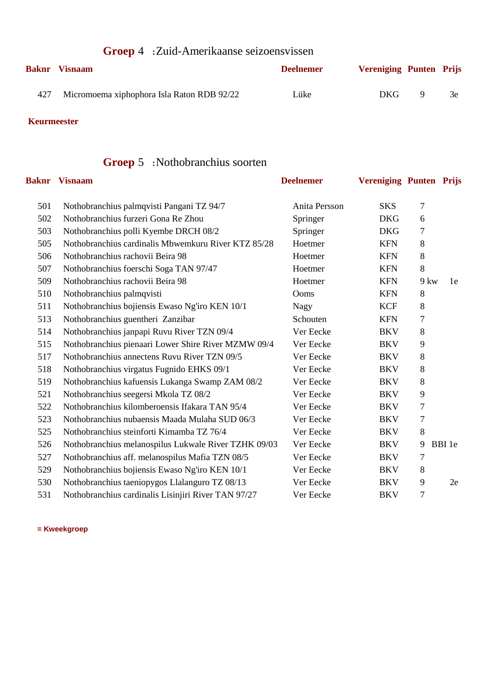| <b>Groep 4</b> : Zuid-Amerikaanse seizoensvissen |                                            |                  |                                |    |    |
|--------------------------------------------------|--------------------------------------------|------------------|--------------------------------|----|----|
|                                                  | <b>Baknr</b> Visnaam                       | <b>Deelnemer</b> | <b>Vereniging Punten Prijs</b> |    |    |
| 427                                              | Micromoema xiphophora Isla Raton RDB 92/22 | Lüke             | DKG.                           | -9 | 3e |

# **Groep** 5 **:**Nothobranchius soorten

|     | <b>Baknr</b> Visnaam                                 | <b>Deelnemer</b> | <b>Vereniging Punten Prijs</b> |               |        |
|-----|------------------------------------------------------|------------------|--------------------------------|---------------|--------|
| 501 | Nothobranchius palmqvisti Pangani TZ 94/7            | Anita Persson    | <b>SKS</b>                     | 7             |        |
| 502 | Nothobranchius furzeri Gona Re Zhou                  | Springer         | <b>DKG</b>                     | 6             |        |
| 503 | Nothobranchius polli Kyembe DRCH 08/2                | Springer         | <b>DKG</b>                     | 7             |        |
| 505 | Nothobranchius cardinalis Mbwemkuru River KTZ 85/28  | Hoetmer          | <b>KFN</b>                     | 8             |        |
| 506 | Nothobranchius rachovii Beira 98                     | Hoetmer          | <b>KFN</b>                     | 8             |        |
| 507 | Nothobranchius foerschi Soga TAN 97/47               | Hoetmer          | <b>KFN</b>                     | 8             |        |
| 509 | Nothobranchius rachovii Beira 98                     | Hoetmer          | <b>KFN</b>                     | $9 \text{kw}$ | 1e     |
| 510 | Nothobranchius palmqvisti                            | Ooms             | <b>KFN</b>                     | 8             |        |
| 511 | Nothobranchius bojiensis Ewaso Ng'iro KEN 10/1       | <b>Nagy</b>      | <b>KCF</b>                     | 8             |        |
| 513 | Nothobranchius guentheri Zanzibar                    | Schouten         | <b>KFN</b>                     | 7             |        |
| 514 | Nothobranchius janpapi Ruvu River TZN 09/4           | Ver Eecke        | <b>BKV</b>                     | 8             |        |
| 515 | Nothobranchius pienaari Lower Shire River MZMW 09/4  | Ver Eecke        | <b>BKV</b>                     | 9             |        |
| 517 | Nothobranchius annectens Ruvu River TZN 09/5         | Ver Eecke        | <b>BKV</b>                     | 8             |        |
| 518 | Nothobranchius virgatus Fugnido EHKS 09/1            | Ver Eecke        | <b>BKV</b>                     | 8             |        |
| 519 | Nothobranchius kafuensis Lukanga Swamp ZAM 08/2      | Ver Eecke        | <b>BKV</b>                     | 8             |        |
| 521 | Nothobranchius seegersi Mkola TZ 08/2                | Ver Eecke        | <b>BKV</b>                     | 9             |        |
| 522 | Nothobranchius kilomberoensis Ifakara TAN 95/4       | Ver Eecke        | <b>BKV</b>                     | 7             |        |
| 523 | Nothobranchius nubaensis Maada Mulaha SUD 06/3       | Ver Eecke        | <b>BKV</b>                     | 7             |        |
| 525 | Nothobranchius steinforti Kimamba TZ 76/4            | Ver Eecke        | <b>BKV</b>                     | 8             |        |
| 526 | Nothobranchius melanospilus Lukwale River TZHK 09/03 | Ver Eecke        | <b>BKV</b>                     | 9             | BBI 1e |
| 527 | Nothobranchius aff. melanospilus Mafia TZN 08/5      | Ver Eecke        | <b>BKV</b>                     | 7             |        |
| 529 | Nothobranchius bojiensis Ewaso Ng'iro KEN 10/1       | Ver Eecke        | <b>BKV</b>                     | 8             |        |
| 530 | Nothobranchius taeniopygos Llalanguro TZ 08/13       | Ver Eecke        | <b>BKV</b>                     | 9             | 2e     |
| 531 | Nothobranchius cardinalis Lisinjiri River TAN 97/27  | Ver Eecke        | <b>BKV</b>                     | 7             |        |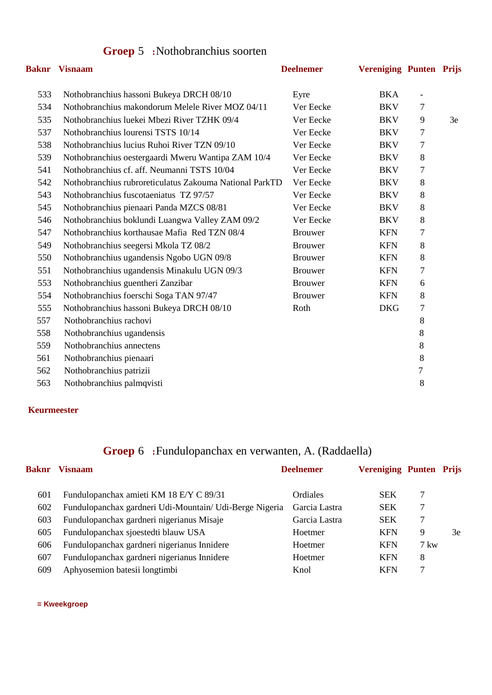### **Groep** 5 **:**Nothobranchius soorten

|     | <b>Baknr</b> Visnaam                                    | <b>Deelnemer</b> | <b>Vereniging Punten Prijs</b> |                          |    |
|-----|---------------------------------------------------------|------------------|--------------------------------|--------------------------|----|
| 533 | Nothobranchius hassoni Bukeya DRCH 08/10                | Eyre             | <b>BKA</b>                     | $\overline{\phantom{a}}$ |    |
| 534 | Nothobranchius makondorum Melele River MOZ 04/11        | Ver Eecke        | <b>BKV</b>                     | 7                        |    |
| 535 | Nothobranchius luekei Mbezi River TZHK 09/4             | Ver Eecke        | <b>BKV</b>                     | 9                        | 3e |
| 537 | Nothobranchius lourensi TSTS 10/14                      | Ver Eecke        | <b>BKV</b>                     | $\tau$                   |    |
| 538 | Nothobranchius lucius Ruhoi River TZN 09/10             | Ver Eecke        | <b>BKV</b>                     | $\tau$                   |    |
| 539 | Nothobranchius oestergaardi Mweru Wantipa ZAM 10/4      | Ver Eecke        | <b>BKV</b>                     | $8\,$                    |    |
| 541 | Nothobranchius cf. aff. Neumanni TSTS 10/04             | Ver Eecke        | <b>BKV</b>                     | 7                        |    |
| 542 | Nothobranchius rubroreticulatus Zakouma National ParkTD | Ver Eecke        | <b>BKV</b>                     | 8                        |    |
| 543 | Nothobranchius fuscotaeniatus TZ 97/57                  | Ver Eecke        | <b>BKV</b>                     | 8                        |    |
| 545 | Nothobranchius pienaari Panda MZCS 08/81                | Ver Eecke        | <b>BKV</b>                     | 8                        |    |
| 546 | Nothobranchius boklundi Luangwa Valley ZAM 09/2         | Ver Eecke        | <b>BKV</b>                     | $8\,$                    |    |
| 547 | Nothobranchius korthausae Mafia Red TZN 08/4            | <b>Brouwer</b>   | <b>KFN</b>                     | 7                        |    |
| 549 | Nothobranchius seegersi Mkola TZ 08/2                   | <b>Brouwer</b>   | <b>KFN</b>                     | 8                        |    |
| 550 | Nothobranchius ugandensis Ngobo UGN 09/8                | <b>Brouwer</b>   | <b>KFN</b>                     | $8\,$                    |    |
| 551 | Nothobranchius ugandensis Minakulu UGN 09/3             | <b>Brouwer</b>   | <b>KFN</b>                     | 7                        |    |
| 553 | Nothobranchius guentheri Zanzibar                       | <b>Brouwer</b>   | <b>KFN</b>                     | 6                        |    |
| 554 | Nothobranchius foerschi Soga TAN 97/47                  | <b>Brouwer</b>   | <b>KFN</b>                     | $8\,$                    |    |
| 555 | Nothobranchius hassoni Bukeya DRCH 08/10                | Roth             | <b>DKG</b>                     | 7                        |    |
| 557 | Nothobranchius rachovi                                  |                  |                                | 8                        |    |
| 558 | Nothobranchius ugandensis                               |                  |                                | 8                        |    |
| 559 | Nothobranchius annectens                                |                  |                                | 8                        |    |
| 561 | Nothobranchius pienaari                                 |                  |                                | 8                        |    |
| 562 | Nothobranchius patrizii                                 |                  |                                | $\tau$                   |    |
| 563 | Nothobranchius palmqvisti                               |                  |                                | 8                        |    |
|     |                                                         |                  |                                |                          |    |

#### **Keurmeester**

## **Groep** 6 **:**Fundulopanchax en verwanten, A. (Raddaella)

| <b>Baknr</b> | <b>Visnaam</b>                                          | <b>Deelnemer</b> | <b>Vereniging Punten Prijs</b> |               |    |
|--------------|---------------------------------------------------------|------------------|--------------------------------|---------------|----|
| 601          | Fundulopanchax amieti KM 18 E/Y C 89/31                 | Ordiales         | <b>SEK</b>                     | 7             |    |
| 602          | Fundulopanchax gardneri Udi-Mountain/ Udi-Berge Nigeria | Garcia Lastra    | <b>SEK</b>                     |               |    |
| 603          | Fundulopanchax gardneri nigerianus Misaje               | Garcia Lastra    | <b>SEK</b>                     | 7             |    |
| 605          | Fundulopanchax sjoestedti blauw USA                     | Hoetmer          | <b>KFN</b>                     | 9             | 3e |
| 606          | Fundulopanchax gardneri nigerianus Innidere             | Hoetmer          | <b>KFN</b>                     | $7 \text{kw}$ |    |
| 607          | Fundulopanchax gardneri nigerianus Innidere             | Hoetmer          | <b>KFN</b>                     | 8             |    |
| 609          | Aphyosemion batesii longtimbi                           | Knol             | <b>KFN</b>                     |               |    |
|              |                                                         |                  |                                |               |    |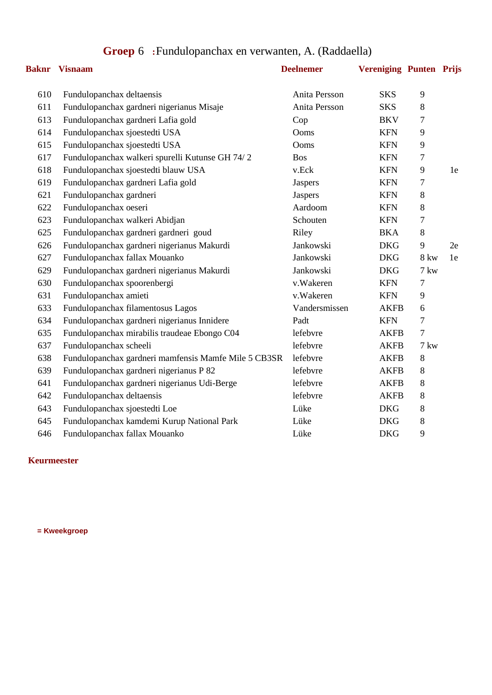|  | Groep 6 : Fundulopanchax en verwanten, A. (Raddaella) |  |  |
|--|-------------------------------------------------------|--|--|
|--|-------------------------------------------------------|--|--|

|     | <b>Baknr</b> Visnaam                                 | <b>Deelnemer</b> | <b>Vereniging Punten Prijs</b> |             |    |
|-----|------------------------------------------------------|------------------|--------------------------------|-------------|----|
| 610 | Fundulopanchax deltaensis                            | Anita Persson    | <b>SKS</b>                     | 9           |    |
| 611 | Fundulopanchax gardneri nigerianus Misaje            | Anita Persson    | <b>SKS</b>                     | 8           |    |
| 613 | Fundulopanchax gardneri Lafia gold                   | Cop              | <b>BKV</b>                     | 7           |    |
| 614 | Fundulopanchax sjoestedti USA                        | Ooms             | <b>KFN</b>                     | 9           |    |
| 615 | Fundulopanchax sjoestedti USA                        | Ooms             | <b>KFN</b>                     | 9           |    |
| 617 | Fundulopanchax walkeri spurelli Kutunse GH 74/2      | <b>Bos</b>       | <b>KFN</b>                     | 7           |    |
| 618 | Fundulopanchax sjoestedti blauw USA                  | v.Eck            | <b>KFN</b>                     | 9           | 1e |
| 619 | Fundulopanchax gardneri Lafia gold                   | <b>Jaspers</b>   | <b>KFN</b>                     | 7           |    |
| 621 | Fundulopanchax gardneri                              | Jaspers          | <b>KFN</b>                     | 8           |    |
| 622 | Fundulopanchax oeseri                                | Aardoom          | <b>KFN</b>                     | 8           |    |
| 623 | Fundulopanchax walkeri Abidjan                       | Schouten         | <b>KFN</b>                     | 7           |    |
| 625 | Fundulopanchax gardneri gardneri goud                | Riley            | <b>BKA</b>                     | $8\,$       |    |
| 626 | Fundulopanchax gardneri nigerianus Makurdi           | Jankowski        | <b>DKG</b>                     | 9           | 2e |
| 627 | Fundulopanchax fallax Mouanko                        | Jankowski        | <b>DKG</b>                     | <b>8 kw</b> | 1e |
| 629 | Fundulopanchax gardneri nigerianus Makurdi           | Jankowski        | <b>DKG</b>                     | 7 kw        |    |
| 630 | Fundulopanchax spoorenbergi                          | v.Wakeren        | <b>KFN</b>                     | 7           |    |
| 631 | Fundulopanchax amieti                                | v.Wakeren        | <b>KFN</b>                     | 9           |    |
| 633 | Fundulopanchax filamentosus Lagos                    | Vandersmissen    | <b>AKFB</b>                    | 6           |    |
| 634 | Fundulopanchax gardneri nigerianus Innidere          | Padt             | <b>KFN</b>                     | 7           |    |
| 635 | Fundulopanchax mirabilis traudeae Ebongo C04         | lefebvre         | <b>AKFB</b>                    | $\tau$      |    |
| 637 | Fundulopanchax scheeli                               | lefebvre         | <b>AKFB</b>                    | 7 kw        |    |
| 638 | Fundulopanchax gardneri mamfensis Mamfe Mile 5 CB3SR | lefebvre         | <b>AKFB</b>                    | 8           |    |
| 639 | Fundulopanchax gardneri nigerianus P 82              | lefebvre         | <b>AKFB</b>                    | 8           |    |
| 641 | Fundulopanchax gardneri nigerianus Udi-Berge         | lefebvre         | <b>AKFB</b>                    | $8\,$       |    |
| 642 | Fundulopanchax deltaensis                            | lefebvre         | <b>AKFB</b>                    | 8           |    |
| 643 | Fundulopanchax sjoestedti Loe                        | Lüke             | <b>DKG</b>                     | $8\,$       |    |
| 645 | Fundulopanchax kamdemi Kurup National Park           | Lüke             | <b>DKG</b>                     | $8\,$       |    |
| 646 | Fundulopanchax fallax Mouanko                        | Lüke             | <b>DKG</b>                     | 9           |    |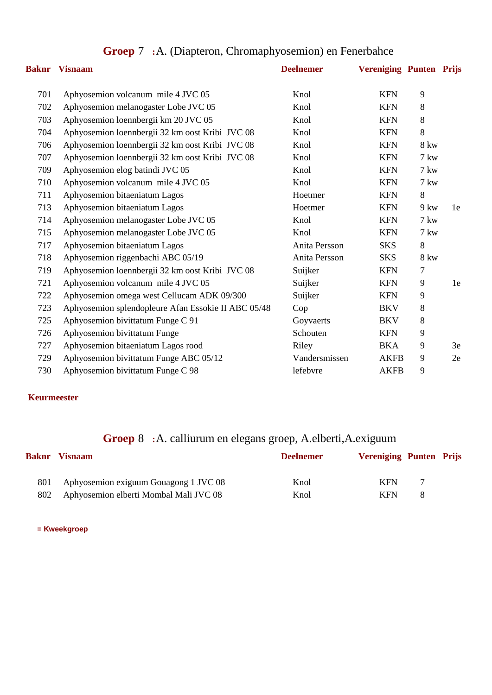|     | <b>Baknr</b> Visnaam                                | <b>Deelnemer</b> | <b>Vereniging Punten Prijs</b> |               |    |
|-----|-----------------------------------------------------|------------------|--------------------------------|---------------|----|
| 701 | Aphyosemion volcanum mile 4 JVC 05                  | Knol             | <b>KFN</b>                     | 9             |    |
| 702 | Aphyosemion melanogaster Lobe JVC 05                | Knol             | <b>KFN</b>                     | 8             |    |
| 703 | Aphyosemion loennbergii km 20 JVC 05                | Knol             | <b>KFN</b>                     | 8             |    |
| 704 | Aphyosemion loennbergii 32 km oost Kribi JVC 08     | Knol             | <b>KFN</b>                     | 8             |    |
| 706 | Aphyosemion loennbergii 32 km oost Kribi JVC 08     | Knol             | <b>KFN</b>                     | <b>8 kw</b>   |    |
| 707 | Aphyosemion loennbergii 32 km oost Kribi JVC 08     | Knol             | <b>KFN</b>                     | 7 kw          |    |
| 709 | Aphyosemion elog batindi JVC 05                     | Knol             | <b>KFN</b>                     | $7 \text{kw}$ |    |
| 710 | Aphyosemion volcanum mile 4 JVC 05                  | Knol             | <b>KFN</b>                     | 7 kw          |    |
| 711 | Aphyosemion bitaeniatum Lagos                       | Hoetmer          | <b>KFN</b>                     | 8             |    |
| 713 | Aphyosemion bitaeniatum Lagos                       | Hoetmer          | <b>KFN</b>                     | $9 \text{kw}$ | 1e |
| 714 | Aphyosemion melanogaster Lobe JVC 05                | Knol             | <b>KFN</b>                     | $7 \text{kw}$ |    |
| 715 | Aphyosemion melanogaster Lobe JVC 05                | Knol             | <b>KFN</b>                     | 7 kw          |    |
| 717 | Aphyosemion bitaeniatum Lagos                       | Anita Persson    | <b>SKS</b>                     | 8             |    |
| 718 | Aphyosemion riggenbachi ABC 05/19                   | Anita Persson    | <b>SKS</b>                     | <b>8 kw</b>   |    |
| 719 | Aphyosemion loennbergii 32 km oost Kribi JVC 08     | Suijker          | <b>KFN</b>                     | 7             |    |
| 721 | Aphyosemion volcanum mile 4 JVC 05                  | Suijker          | <b>KFN</b>                     | 9             | 1e |
| 722 | Aphyosemion omega west Cellucam ADK 09/300          | Suijker          | <b>KFN</b>                     | 9             |    |
| 723 | Aphyosemion splendopleure Afan Essokie II ABC 05/48 | Cop              | <b>BKV</b>                     | 8             |    |
| 725 | Aphyosemion bivittatum Funge C 91                   | Goyvaerts        | <b>BKV</b>                     | 8             |    |
| 726 | Aphyosemion bivittatum Funge                        | Schouten         | <b>KFN</b>                     | 9             |    |
| 727 | Aphyosemion bitaeniatum Lagos rood                  | Riley            | BKA                            | 9             | 3e |
| 729 | Aphyosemion bivittatum Funge ABC 05/12              | Vandersmissen    | <b>AKFB</b>                    | 9             | 2e |
| 730 | Aphyosemion bivittatum Funge C 98                   | lefebvre         | <b>AKFB</b>                    | 9             |    |

## **Groep** 7 **:**A. (Diapteron, Chromaphyosemion) en Fenerbahce

### **Keurmeester**

## **Groep** 8 **:**A. calliurum en elegans groep, A.elberti,A.exiguum

| Baknr | <b>Visnaam</b>                         | <b>Deelnemer</b> | <b>Vereniging Punten Prijs</b> |
|-------|----------------------------------------|------------------|--------------------------------|
| 801   | Aphyosemion exiguum Gouagong 1 JVC 08  | Knol             | <b>KFN</b>                     |
| 802   | Aphyosemion elberti Mombal Mali JVC 08 | Knol             | <b>KFN</b><br>-8               |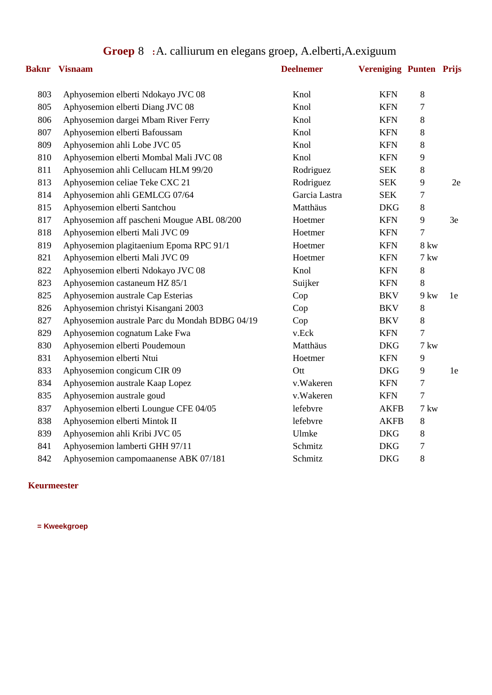|  |  |  | <b>Groep 8</b> : A. calliurum en elegans groep, A. elberti, A. exiguum |
|--|--|--|------------------------------------------------------------------------|
|--|--|--|------------------------------------------------------------------------|

|     | <b>Baknr</b> Visnaam                           | <b>Deelnemer</b> | <b>Vereniging Punten Prijs</b> |             |    |
|-----|------------------------------------------------|------------------|--------------------------------|-------------|----|
| 803 | Aphyosemion elberti Ndokayo JVC 08             | Knol             | <b>KFN</b>                     | 8           |    |
| 805 | Aphyosemion elberti Diang JVC 08               | Knol             | <b>KFN</b>                     | 7           |    |
| 806 | Aphyosemion dargei Mbam River Ferry            | Knol             | <b>KFN</b>                     | 8           |    |
| 807 | Aphyosemion elberti Bafoussam                  | Knol             | <b>KFN</b>                     | 8           |    |
| 809 | Aphyosemion ahli Lobe JVC 05                   | Knol             | <b>KFN</b>                     | 8           |    |
| 810 | Aphyosemion elberti Mombal Mali JVC 08         | Knol             | <b>KFN</b>                     | 9           |    |
| 811 | Aphyosemion ahli Cellucam HLM 99/20            | Rodriguez        | <b>SEK</b>                     | 8           |    |
| 813 | Aphyosemion celiae Teke CXC 21                 | Rodriguez        | <b>SEK</b>                     | 9           | 2e |
| 814 | Aphyosemion ahli GEMLCG 07/64                  | Garcia Lastra    | <b>SEK</b>                     | 7           |    |
| 815 | Aphyosemion elberti Santchou                   | Matthäus         | <b>DKG</b>                     | 8           |    |
| 817 | Aphyosemion aff pascheni Mougue ABL 08/200     | Hoetmer          | <b>KFN</b>                     | 9           | 3e |
| 818 | Aphyosemion elberti Mali JVC 09                | Hoetmer          | <b>KFN</b>                     | 7           |    |
| 819 | Aphyosemion plagitaenium Epoma RPC 91/1        | Hoetmer          | <b>KFN</b>                     | <b>8 kw</b> |    |
| 821 | Aphyosemion elberti Mali JVC 09                | Hoetmer          | <b>KFN</b>                     | 7 kw        |    |
| 822 | Aphyosemion elberti Ndokayo JVC 08             | Knol             | <b>KFN</b>                     | 8           |    |
| 823 | Aphyosemion castaneum HZ 85/1                  | Suijker          | <b>KFN</b>                     | 8           |    |
| 825 | Aphyosemion australe Cap Esterias              | Cop              | <b>BKV</b>                     | $9$ kw      | 1e |
| 826 | Aphyosemion christyi Kisangani 2003            | Cop              | <b>BKV</b>                     | $8\,$       |    |
| 827 | Aphyosemion australe Parc du Mondah BDBG 04/19 | Cop              | <b>BKV</b>                     | $8\,$       |    |
| 829 | Aphyosemion cognatum Lake Fwa                  | v.Eck            | <b>KFN</b>                     | 7           |    |
| 830 | Aphyosemion elberti Poudemoun                  | Matthäus         | <b>DKG</b>                     | 7 kw        |    |
| 831 | Aphyosemion elberti Ntui                       | Hoetmer          | <b>KFN</b>                     | 9           |    |
| 833 | Aphyosemion congicum CIR 09                    | Ott              | <b>DKG</b>                     | 9           | 1e |
| 834 | Aphyosemion australe Kaap Lopez                | v.Wakeren        | <b>KFN</b>                     | 7           |    |
| 835 | Aphyosemion australe goud                      | v.Wakeren        | <b>KFN</b>                     | 7           |    |
| 837 | Aphyosemion elberti Loungue CFE 04/05          | lefebvre         | <b>AKFB</b>                    | 7 kw        |    |
| 838 | Aphyosemion elberti Mintok II                  | lefebvre         | <b>AKFB</b>                    | 8           |    |
| 839 | Aphyosemion ahli Kribi JVC 05                  | Ulmke            | <b>DKG</b>                     | 8           |    |
| 841 | Aphyosemion lamberti GHH 97/11                 | Schmitz          | <b>DKG</b>                     | 7           |    |
| 842 | Aphyosemion campomaanense ABK 07/181           | Schmitz          | <b>DKG</b>                     | 8           |    |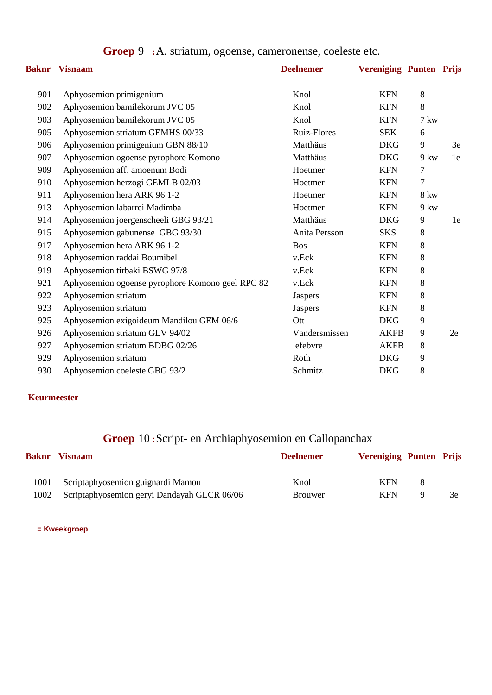|  |  |  | <b>Groep 9</b> : A. striatum, ogoense, cameronense, coeleste etc. |  |
|--|--|--|-------------------------------------------------------------------|--|
|--|--|--|-------------------------------------------------------------------|--|

|     | <b>Baknr</b> Visnaam                             | <b>Deelnemer</b>   | <b>Vereniging Punten Prijs</b> |                |    |
|-----|--------------------------------------------------|--------------------|--------------------------------|----------------|----|
| 901 | Aphyosemion primigenium                          | Knol               | <b>KFN</b>                     | $8\,$          |    |
| 902 | Aphyosemion bamilekorum JVC 05                   | Knol               | <b>KFN</b>                     | $8\,$          |    |
| 903 | Aphyosemion bamilekorum JVC 05                   | Knol               | <b>KFN</b>                     | 7 kw           |    |
| 905 | Aphyosemion striatum GEMHS 00/33                 | <b>Ruiz-Flores</b> | <b>SEK</b>                     | 6              |    |
| 906 | Aphyosemion primigenium GBN 88/10                | Matthäus           | <b>DKG</b>                     | 9              | 3e |
| 907 | Aphyosemion ogoense pyrophore Komono             | Matthäus           | <b>DKG</b>                     | $9 \text{kw}$  | 1e |
| 909 | Aphyosemion aff. amoenum Bodi                    | Hoetmer            | <b>KFN</b>                     | $\tau$         |    |
| 910 | Aphyosemion herzogi GEMLB 02/03                  | Hoetmer            | <b>KFN</b>                     | $\overline{7}$ |    |
| 911 | Aphyosemion hera ARK 96 1-2                      | Hoetmer            | <b>KFN</b>                     | <b>8 kw</b>    |    |
| 913 | Aphyosemion labarrei Madimba                     | Hoetmer            | <b>KFN</b>                     | $9$ kw         |    |
| 914 | Aphyosemion joergenscheeli GBG 93/21             | Matthäus           | <b>DKG</b>                     | 9              | 1e |
| 915 | Aphyosemion gabunense GBG 93/30                  | Anita Persson      | <b>SKS</b>                     | 8              |    |
| 917 | Aphyosemion hera ARK 96 1-2                      | <b>Bos</b>         | <b>KFN</b>                     | $8\,$          |    |
| 918 | Aphyosemion raddai Boumibel                      | v.Eck              | <b>KFN</b>                     | 8              |    |
| 919 | Aphyosemion tirbaki BSWG 97/8                    | v.Eck              | <b>KFN</b>                     | $8\,$          |    |
| 921 | Aphyosemion ogoense pyrophore Komono geel RPC 82 | v.Eck              | <b>KFN</b>                     | $8\,$          |    |
| 922 | Aphyosemion striatum                             | <b>Jaspers</b>     | <b>KFN</b>                     | 8              |    |
| 923 | Aphyosemion striatum                             | Jaspers            | <b>KFN</b>                     | $8\,$          |    |
| 925 | Aphyosemion exigoideum Mandilou GEM 06/6         | Ott                | <b>DKG</b>                     | 9              |    |
| 926 | Aphyosemion striatum GLV 94/02                   | Vandersmissen      | <b>AKFB</b>                    | 9              | 2e |
| 927 | Aphyosemion striatum BDBG 02/26                  | lefebvre           | <b>AKFB</b>                    | 8              |    |
| 929 | Aphyosemion striatum                             | Roth               | <b>DKG</b>                     | 9              |    |
| 930 | Aphyosemion coeleste GBG 93/2                    | Schmitz            | <b>DKG</b>                     | $\, 8$         |    |

# **Groep** 10 **:**Script- en Archiaphyosemion en Callopanchax

| Baknr | <b>Visnaam</b>                              | <b>Deelnemer</b> | <b>Vereniging Punten Prijs</b> |     |
|-------|---------------------------------------------|------------------|--------------------------------|-----|
| 1001  | Scriptaphyosemion guignardi Mamou           | Knol             | <b>KFN</b><br>x                |     |
| 1002  | Scriptaphyosemion geryi Dandayah GLCR 06/06 | <b>Brouwer</b>   | <b>KFN</b><br>Q                | 3e. |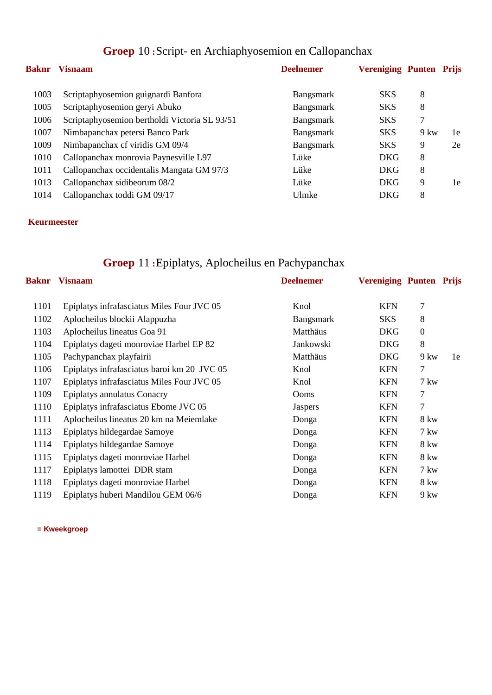| Baknr | <b>Visnaam</b>                                | <b>Deelnemer</b> | <b>Vereniging Punten Prijs</b> |               |    |
|-------|-----------------------------------------------|------------------|--------------------------------|---------------|----|
| 1003  | Scriptaphyosemion guignardi Banfora           | Bangsmark        | <b>SKS</b>                     | 8             |    |
| 1005  | Scriptaphyosemion geryi Abuko                 | Bangsmark        | <b>SKS</b>                     | 8             |    |
| 1006  | Scriptaphyosemion bertholdi Victoria SL 93/51 | <b>Bangsmark</b> | <b>SKS</b>                     | 7             |    |
| 1007  | Nimbapanchax petersi Banco Park               | <b>Bangsmark</b> | <b>SKS</b>                     | $9 \text{kw}$ | 1e |
| 1009  | Nimbapanchax of viridis GM 09/4               | <b>Bangsmark</b> | <b>SKS</b>                     | 9             | 2e |
| 1010  | Callopanchax monrovia Paynesville L97         | Lüke             | <b>DKG</b>                     | 8             |    |
| 1011  | Callopanchax occidentalis Mangata GM 97/3     | Lüke             | <b>DKG</b>                     | 8             |    |
| 1013  | Callopanchax sidibeorum 08/2                  | Lüke             | <b>DKG</b>                     | 9             | 1e |
| 1014  | Callopanchax toddi GM 09/17                   | Ulmke            | <b>DKG</b>                     | 8             |    |
|       |                                               |                  |                                |               |    |

## **Groep** 10 **:**Script- en Archiaphyosemion en Callopanchax

#### **Keurmeester**

# **Groep** 11 **:**Epiplatys, Aplocheilus en Pachypanchax

| <b>Baknr</b> | <b>Visnaam</b>                              | <b>Deelnemer</b> | <b>Vereniging Punten Prijs</b> |                |    |
|--------------|---------------------------------------------|------------------|--------------------------------|----------------|----|
| 1101         | Epiplatys infrafasciatus Miles Four JVC 05  | Knol             | <b>KFN</b>                     | 7              |    |
| 1102         | Aplocheilus blockii Alappuzha               | Bangsmark        | <b>SKS</b>                     | 8              |    |
| 1103         | Aplocheilus lineatus Goa 91                 | Matthäus         | <b>DKG</b>                     | $\overline{0}$ |    |
| 1104         | Epiplatys dageti monroviae Harbel EP 82     | Jankowski        | <b>DKG</b>                     | 8              |    |
| 1105         | Pachypanchax playfairii                     | Matthäus         | <b>DKG</b>                     | $9 \text{kw}$  | 1e |
| 1106         | Epiplatys infrafasciatus baroi km 20 JVC 05 | Knol             | <b>KFN</b>                     | 7              |    |
| 1107         | Epiplatys infrafasciatus Miles Four JVC 05  | Knol             | <b>KFN</b>                     | $7 \text{kw}$  |    |
| 1109         | <b>Epiplatys annulatus Conacry</b>          | Ooms             | <b>KFN</b>                     | 7              |    |
| 1110         | Epiplatys infrafasciatus Ebome JVC 05       | <b>Jaspers</b>   | <b>KFN</b>                     | $\overline{7}$ |    |
| 1111         | Aplocheilus lineatus 20 km na Meiemlake     | Donga            | <b>KFN</b>                     | 8 kw           |    |
| 1113         | Epiplatys hildegardae Samoye                | Donga            | <b>KFN</b>                     | $7 \text{kw}$  |    |
| 1114         | Epiplatys hildegardae Samoye                | Donga            | <b>KFN</b>                     | <b>8 kw</b>    |    |
| 1115         | Epiplatys dageti monroviae Harbel           | Donga            | <b>KFN</b>                     | 8 kw           |    |
| 1117         | Epiplatys lamottei DDR stam                 | Donga            | <b>KFN</b>                     | 7 kw           |    |
| 1118         | Epiplatys dageti monroviae Harbel           | Donga            | <b>KFN</b>                     | 8 kw           |    |
| 1119         | Epiplatys huberi Mandilou GEM 06/6          | Donga            | <b>KFN</b>                     | $9 \text{kw}$  |    |